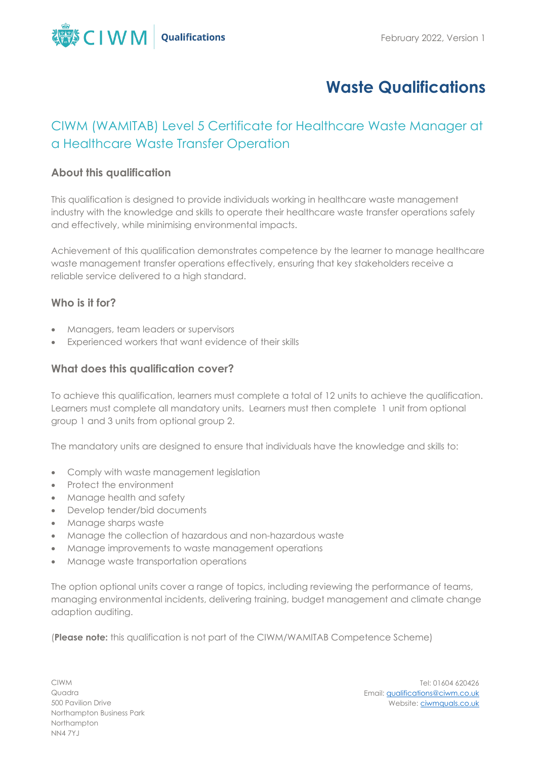

# **Waste Qualifications**

# CIWM (WAMITAB) Level 5 Certificate for Healthcare Waste Manager at a Healthcare Waste Transfer Operation

## **About this qualification**

This qualification is designed to provide individuals working in healthcare waste management industry with the knowledge and skills to operate their healthcare waste transfer operations safely and effectively, while minimising environmental impacts.

Achievement of this qualification demonstrates competence by the learner to manage healthcare waste management transfer operations effectively, ensuring that key stakeholders receive a reliable service delivered to a high standard.

## **Who is it for?**

- Managers, team leaders or supervisors
- Experienced workers that want evidence of their skills

## **What does this qualification cover?**

To achieve this qualification, learners must complete a total of 12 units to achieve the qualification. Learners must complete all mandatory units. Learners must then complete 1 unit from optional group 1 and 3 units from optional group 2.

The mandatory units are designed to ensure that individuals have the knowledge and skills to:

- Comply with waste management legislation
- Protect the environment
- Manage health and safety
- Develop tender/bid documents
- Manage sharps waste
- Manage the collection of hazardous and non-hazardous waste
- Manage improvements to waste management operations
- Manage waste transportation operations

The option optional units cover a range of topics, including reviewing the performance of teams, managing environmental incidents, delivering training, budget management and climate change adaption auditing.

(**Please note:** this qualification is not part of the CIWM/WAMITAB Competence Scheme)

CIWM Quadra 500 Pavilion Drive Northampton Business Park Northampton NN4 7YJ

Tel: 01604 620426 Email[: qualifications@ciwm.co.uk](mailto:qualifications@ciwm.co.uk) Website: [ciwmquals.co.uk](https://www.ciwm.co.uk/ciwm/home/ciwm/default.aspx?hkey=95e241b6-a82d-4a99-aae0-a0f49b65d10b)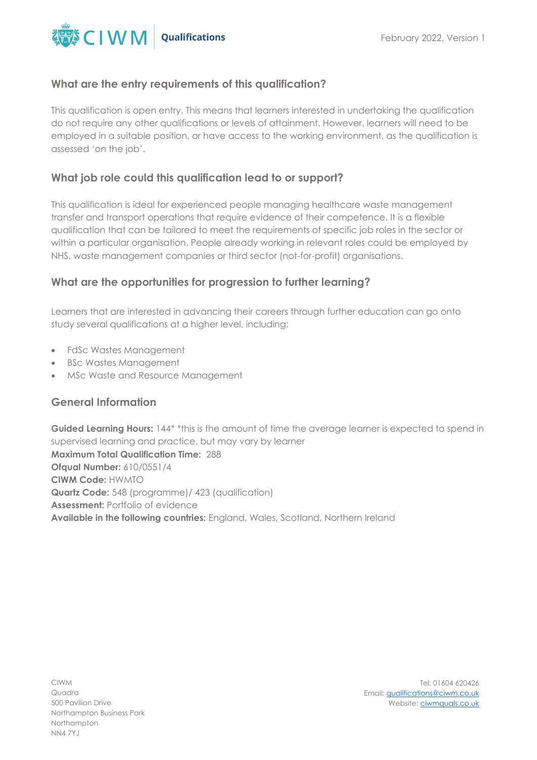

#### **What are the entry requirements of this qualification?**

This qualification is open entry. This means that learners interested in undertaking the qualification do not require any other qualifications or levels of attainment. However, learners will need to be employed in a suitable position, or have access to the working environment, as the qualification is assessed 'on the job'.

# **What job role could this qualification lead to or support?**

This qualification is ideal for experienced people managing healthcare waste management transfer and transport operations that require evidence of their competence. It is a flexible qualification that can be tailored to meet the requirements of specific job roles in the sector or within a particular organisation. People already working in relevant roles could be employed by NHS, waste management companies or third sector (not-for-profit) organisations.

#### **What are the opportunities for progression to further learning?**

Learners that are interested in advancing their careers through further education can go onto study several qualifications at a higher level, including:

- FdSc Wastes Management
- BSc Wastes Management
- MSc Waste and Resource Management

#### **General Information**

Guided Learning Hours: 144<sup>\*</sup> \*this is the amount of time the average learner is expected to spend in supervised learning and practice, but may vary by learner **Maximum Total Qualification Time:** 288 **Ofqual Number:** 610/0551/4 **CIWM Code:** HWMTO **Quartz Code:** 548 (programme)/ 423 (qualification)

**Assessment:** Portfolio of evidence

**Available in the following countries:** England, Wales, Scotland, Northern Ireland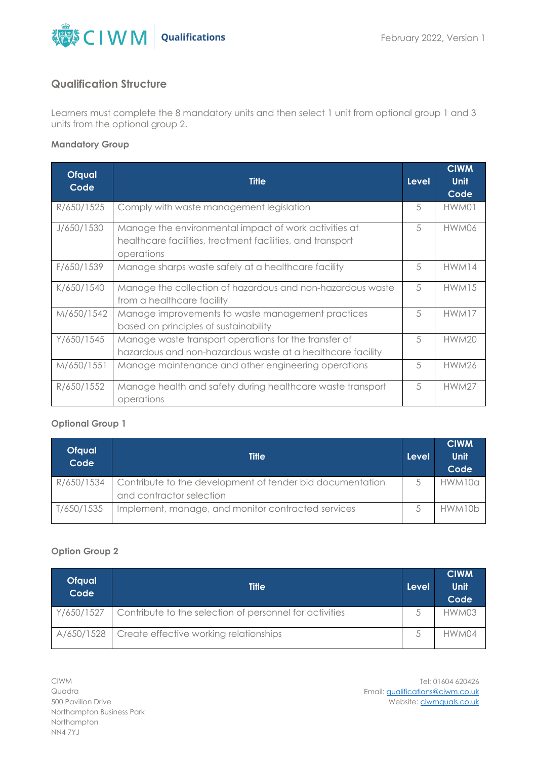

## **Qualification Structure**

Learners must complete the 8 mandatory units and then select 1 unit from optional group 1 and 3 units from the optional group 2.

#### **Mandatory Group**

| <b>Ofqual</b><br>Code | <b>Title</b>                                                                                                                      | Level | <b>CIWM</b><br><b>Unit</b><br>Code |
|-----------------------|-----------------------------------------------------------------------------------------------------------------------------------|-------|------------------------------------|
| R/650/1525            | Comply with waste management legislation                                                                                          | 5     | HWM01                              |
| J/650/1530            | Manage the environmental impact of work activities at<br>healthcare facilities, treatment facilities, and transport<br>operations | 5     | HWM06                              |
| F/650/1539            | Manage sharps waste safely at a healthcare facility                                                                               | 5     | HWM14                              |
| K/650/1540            | Manage the collection of hazardous and non-hazardous waste<br>from a healthcare facility                                          | 5     | HWM15                              |
| M/650/1542            | Manage improvements to waste management practices<br>based on principles of sustainability                                        | 5     | HWM17                              |
| Y/650/1545            | Manage waste transport operations for the transfer of<br>hazardous and non-hazardous waste at a healthcare facility               | 5     | <b>HWM20</b>                       |
| M/650/1551            | Manage maintenance and other engineering operations                                                                               | 5     | <b>HWM26</b>                       |
| R/650/1552            | Manage health and safety during healthcare waste transport<br>operations                                                          | 5     | <b>HWM27</b>                       |

#### **Optional Group 1**

| <b>Ofqual</b><br>Code | <b>Title</b>                                                                          | Level | <b>CIWM</b><br>Unit<br>Code |
|-----------------------|---------------------------------------------------------------------------------------|-------|-----------------------------|
| R/650/1534            | Contribute to the development of tender bid documentation<br>and contractor selection |       | HWM10a                      |
| T/650/1535            | Implement, manage, and monitor contracted services                                    |       | HWM10b                      |

#### **Option Group 2**

| Ofqual<br>Code | <b>Title</b>                                                         | Level | <b>CIWM</b><br>Unit<br>Code |
|----------------|----------------------------------------------------------------------|-------|-----------------------------|
|                | Y/650/1527   Contribute to the selection of personnel for activities |       | HWM03                       |
|                | A/650/1528 Create effective working relationships                    |       | HWM04                       |

Tel: 01604 620426 Email[: qualifications@ciwm.co.uk](mailto:qualifications@ciwm.co.uk) Website: [ciwmquals.co.uk](https://www.ciwm.co.uk/ciwm/home/ciwm/default.aspx?hkey=95e241b6-a82d-4a99-aae0-a0f49b65d10b)